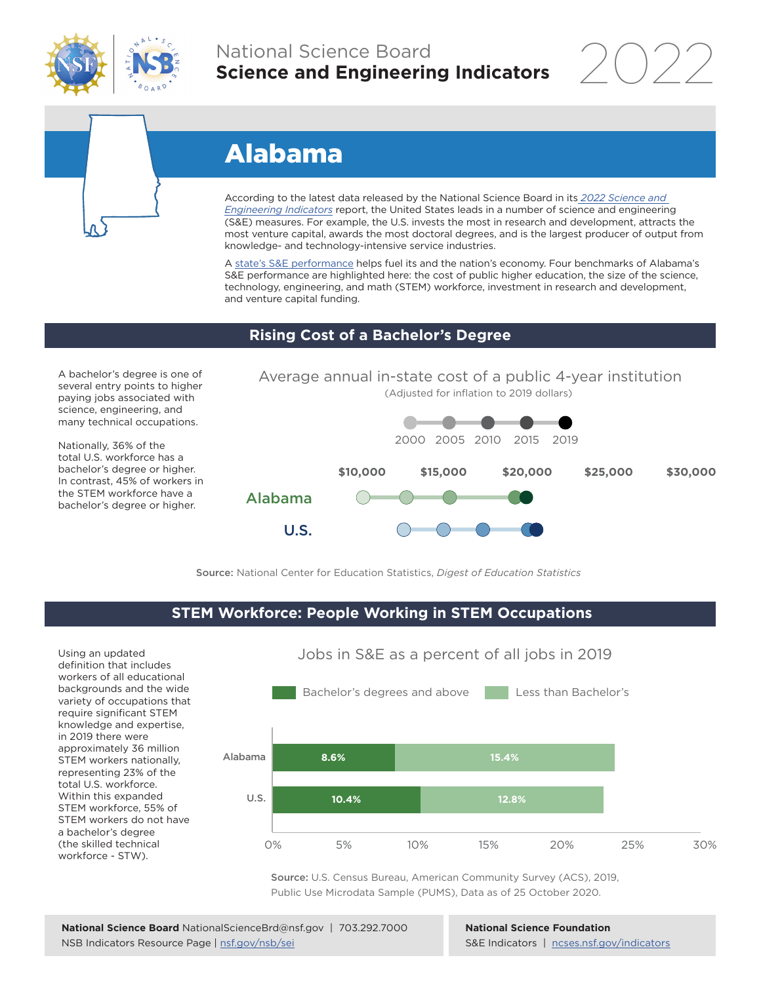

# National Science Board **Science and Engineering Indicators**

2022



# Alabama

According to the latest data released by the National Science Board in its *2022 Science and Engineering Indicators* report, the United States leads in a number of science and engineering (S&E) measures. For example, the U.S. invests the most in research and development, attracts the most venture capital, awards the most doctoral degrees, and is the largest producer of output from knowledge- and technology-intensive service industries.

A state's S&E performance helps fuel its and the nation's economy. Four benchmarks of Alabama's S&E performance are highlighted here: the cost of public higher education, the size of the science, technology, engineering, and math (STEM) workforce, investment in research and development, and venture capital funding.

## **Rising Cost of a Bachelor's Degree**

A bachelor's degree is one of several entry points to higher paying jobs associated with science, engineering, and many technical occupations.

Nationally, 36% of the total U.S. workforce has a bachelor's degree or higher. In contrast, 45% of workers in the STEM workforce have a bachelor's degree or higher.



Source: National Center for Education Statistics, *Digest of Education Statistics*

## **STEM Workforce: People Working in STEM Occupations**

Using an updated definition that includes workers of all educational backgrounds and the wide variety of occupations that require significant STEM knowledge and expertise, in 2019 there were approximately 36 million STEM workers nationally, representing 23% of the total U.S. workforce. Within this expanded STEM workforce, 55% of STEM workers do not have a bachelor's degree (the skilled technical workforce - STW).



Source: U.S. Census Bureau, American Community Survey (ACS), 2019, Public Use Microdata Sample (PUMS), Data as of 25 October 2020.

**National Science Foundation** S&E Indicators | ncses.nsf.gov/indicators

# Jobs in S&E as a percent of all jobs in 2019